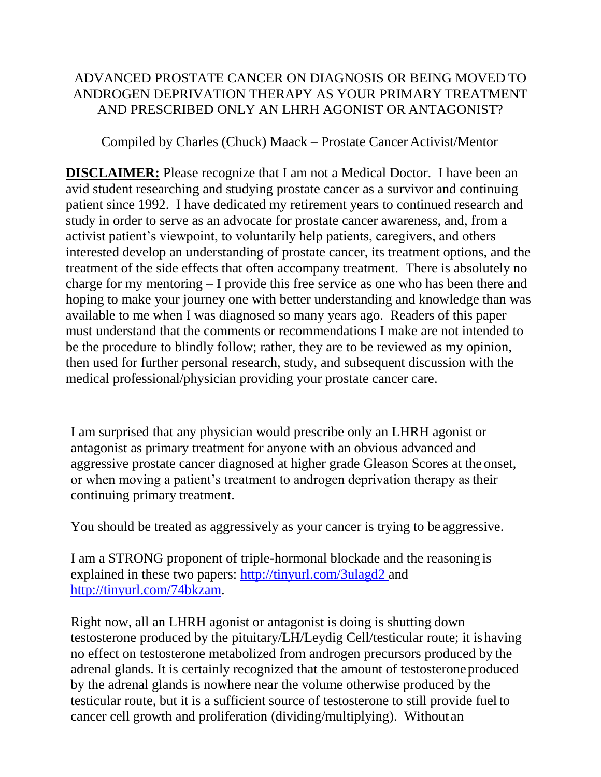## ADVANCED PROSTATE CANCER ON DIAGNOSIS OR BEING MOVED TO ANDROGEN DEPRIVATION THERAPY AS YOUR PRIMARY TREATMENT AND PRESCRIBED ONLY AN LHRH AGONIST OR ANTAGONIST?

Compiled by Charles (Chuck) Maack – Prostate Cancer Activist/Mentor

**DISCLAIMER:** Please recognize that I am not a Medical Doctor. I have been an avid student researching and studying prostate cancer as a survivor and continuing patient since 1992. I have dedicated my retirement years to continued research and study in order to serve as an advocate for prostate cancer awareness, and, from a activist patient's viewpoint, to voluntarily help patients, caregivers, and others interested develop an understanding of prostate cancer, its treatment options, and the treatment of the side effects that often accompany treatment. There is absolutely no charge for my mentoring – I provide this free service as one who has been there and hoping to make your journey one with better understanding and knowledge than was available to me when I was diagnosed so many years ago. Readers of this paper must understand that the comments or recommendations I make are not intended to be the procedure to blindly follow; rather, they are to be reviewed as my opinion, then used for further personal research, study, and subsequent discussion with the medical professional/physician providing your prostate cancer care.

I am surprised that any physician would prescribe only an LHRH agonist or antagonist as primary treatment for anyone with an obvious advanced and aggressive prostate cancer diagnosed at higher grade Gleason Scores at the onset, or when moving a patient's treatment to androgen deprivation therapy astheir continuing primary treatment.

You should be treated as aggressively as your cancer is trying to be aggressive.

I am a STRONG proponent of triple-hormonal blockade and the reasoning is explained in these two papers:<http://tinyurl.com/3ulagd2> and [http://tinyurl.com/74bkzam.](http://tinyurl.com/74bkzam)

Right now, all an LHRH agonist or antagonist is doing is shutting down testosterone produced by the pituitary/LH/Leydig Cell/testicular route; it is having no effect on testosterone metabolized from androgen precursors produced by the adrenal glands. It is certainly recognized that the amount of testosteroneproduced by the adrenal glands is nowhere near the volume otherwise produced by the testicular route, but it is a sufficient source of testosterone to still provide fuel to cancer cell growth and proliferation (dividing/multiplying). Without an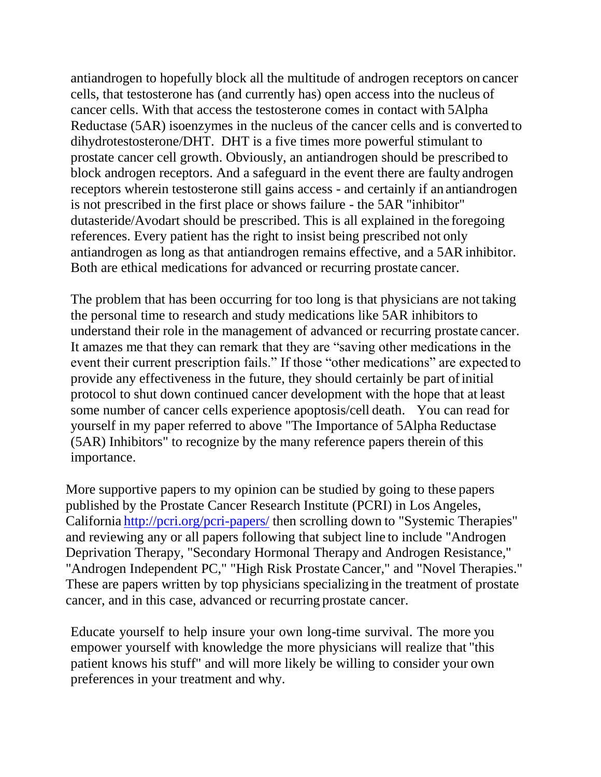antiandrogen to hopefully block all the multitude of androgen receptors on cancer cells, that testosterone has (and currently has) open access into the nucleus of cancer cells. With that access the testosterone comes in contact with 5Alpha Reductase (5AR) isoenzymes in the nucleus of the cancer cells and is converted to dihydrotestosterone/DHT. DHT is a five times more powerful stimulant to prostate cancer cell growth. Obviously, an antiandrogen should be prescribed to block androgen receptors. And a safeguard in the event there are faulty androgen receptors wherein testosterone still gains access - and certainly if an antiandrogen is not prescribed in the first place or shows failure - the 5AR "inhibitor" dutasteride/Avodart should be prescribed. This is all explained in the foregoing references. Every patient has the right to insist being prescribed not only antiandrogen as long as that antiandrogen remains effective, and a 5AR inhibitor. Both are ethical medications for advanced or recurring prostate cancer.

The problem that has been occurring for too long is that physicians are not taking the personal time to research and study medications like 5AR inhibitors to understand their role in the management of advanced or recurring prostate cancer. It amazes me that they can remark that they are "saving other medications in the event their current prescription fails." If those "other medications" are expected to provide any effectiveness in the future, they should certainly be part ofinitial protocol to shut down continued cancer development with the hope that at least some number of cancer cells experience apoptosis/cell death. You can read for yourself in my paper referred to above "The Importance of 5Alpha Reductase (5AR) Inhibitors" to recognize by the many reference papers therein of this importance.

More supportive papers to my opinion can be studied by going to these papers published by the Prostate Cancer Research Institute (PCRI) in Los Angeles, California <http://pcri.org/pcri-papers/> then scrolling down to "Systemic Therapies" and reviewing any or all papers following that subject line to include "Androgen Deprivation Therapy, "Secondary Hormonal Therapy and Androgen Resistance," "Androgen Independent PC," "High Risk Prostate Cancer," and "Novel Therapies." These are papers written by top physicians specializing in the treatment of prostate cancer, and in this case, advanced or recurring prostate cancer.

Educate yourself to help insure your own long-time survival. The more you empower yourself with knowledge the more physicians will realize that "this patient knows his stuff" and will more likely be willing to consider your own preferences in your treatment and why.